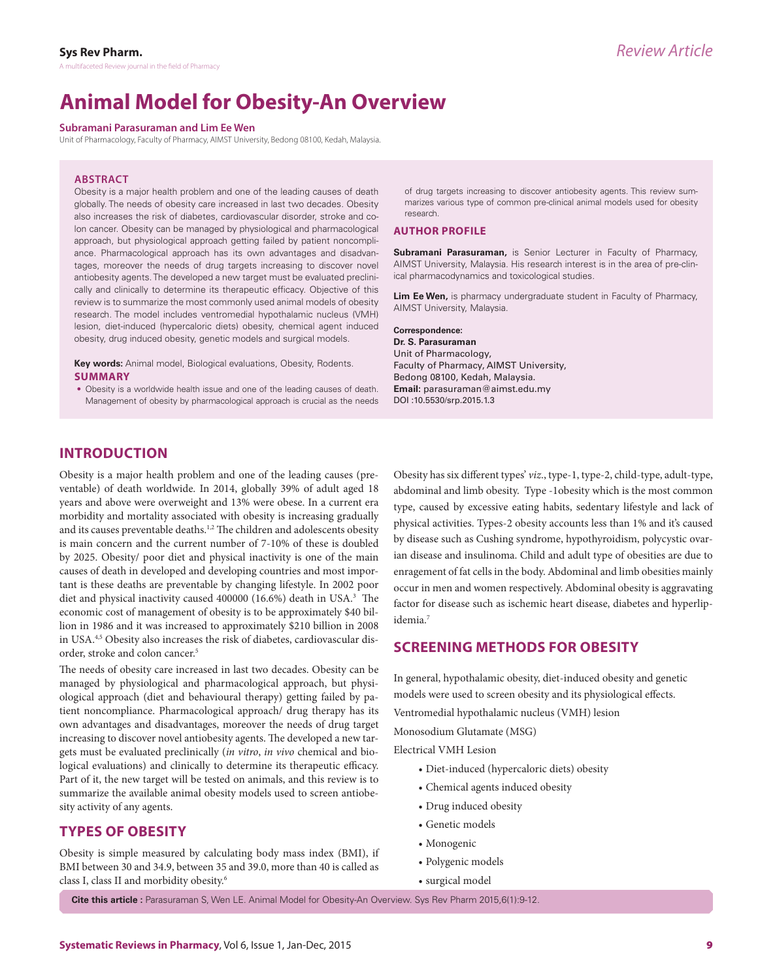# **Animal Model for Obesity-An Overview**

#### **Subramani Parasuraman and Lim Ee Wen**

Unit of Pharmacology, Faculty of Pharmacy, AIMST University, Bedong 08100, Kedah, Malaysia.

#### **ABSTRACT**

Obesity is a major health problem and one of the leading causes of death globally. The needs of obesity care increased in last two decades. Obesity also increases the risk of diabetes, cardiovascular disorder, stroke and colon cancer. Obesity can be managed by physiological and pharmacological approach, but physiological approach getting failed by patient noncompliance. Pharmacological approach has its own advantages and disadvantages, moreover the needs of drug targets increasing to discover novel antiobesity agents. The developed a new target must be evaluated preclinically and clinically to determine its therapeutic efficacy. Objective of this review is to summarize the most commonly used animal models of obesity research. The model includes ventromedial hypothalamic nucleus (VMH) lesion, diet-induced (hypercaloric diets) obesity, chemical agent induced obesity, drug induced obesity, genetic models and surgical models.

**Key words:** Animal model, Biological evaluations, Obesity, Rodents. **SUMMARY**

• Obesity is a worldwide health issue and one of the leading causes of death. Management of obesity by pharmacological approach is crucial as the needs of drug targets increasing to discover antiobesity agents. This review summarizes various type of common pre-clinical animal models used for obesity research.

#### **AUTHOR PROFILE**

**Subramani Parasuraman,** is Senior Lecturer in Faculty of Pharmacy, AIMST University, Malaysia. His research interest is in the area of pre-clinical pharmacodynamics and toxicological studies.

**Lim Ee Wen,** is pharmacy undergraduate student in Faculty of Pharmacy, AIMST University, Malaysia.

**Correspondence:**

**Dr. S. Parasuraman** Unit of Pharmacology, Faculty of Pharmacy, AIMST University, Bedong 08100, Kedah, Malaysia. **Email:** parasuraman@aimst.edu.my DOI :10.5530/srp.2015.1.3

# **INTRODUCTION**

Obesity is a major health problem and one of the leading causes (preventable) of death worldwide. In 2014, globally 39% of adult aged 18 years and above were overweight and 13% were obese. In a current era morbidity and mortality associated with obesity is increasing gradually and its causes preventable deaths.<sup>1,2</sup> The children and adolescents obesity is main concern and the current number of 7-10% of these is doubled by 2025. Obesity/ poor diet and physical inactivity is one of the main causes of death in developed and developing countries and most important is these deaths are preventable by changing lifestyle. In 2002 poor diet and physical inactivity caused 400000 (16.6%) death in USA.<sup>3</sup> The economic cost of management of obesity is to be approximately \$40 billion in 1986 and it was increased to approximately \$210 billion in 2008 in USA.4,5 Obesity also increases the risk of diabetes, cardiovascular disorder, stroke and colon cancer.<sup>5</sup>

The needs of obesity care increased in last two decades. Obesity can be managed by physiological and pharmacological approach, but physiological approach (diet and behavioural therapy) getting failed by patient noncompliance. Pharmacological approach/ drug therapy has its own advantages and disadvantages, moreover the needs of drug target increasing to discover novel antiobesity agents. The developed a new targets must be evaluated preclinically (*in vitro*, *in vivo* chemical and biological evaluations) and clinically to determine its therapeutic efficacy. Part of it, the new target will be tested on animals, and this review is to summarize the available animal obesity models used to screen antiobesity activity of any agents.

# **TYPES OF OBESITY**

Obesity is simple measured by calculating body mass index (BMI), if BMI between 30 and 34.9, between 35 and 39.0, more than 40 is called as class I, class II and morbidity obesity.6

Obesity has six different types' *viz*., type-1, type-2, child-type, adult-type, abdominal and limb obesity. Type -1obesity which is the most common type, caused by excessive eating habits, sedentary lifestyle and lack of physical activities. Types-2 obesity accounts less than 1% and it's caused by disease such as Cushing syndrome, hypothyroidism, polycystic ovarian disease and insulinoma. Child and adult type of obesities are due to enragement of fat cells in the body. Abdominal and limb obesities mainly occur in men and women respectively. Abdominal obesity is aggravating factor for disease such as ischemic heart disease, diabetes and hyperlipidemia.<sup>7</sup>

## **SCREENING METHODS FOR OBESITY**

In general, hypothalamic obesity, diet-induced obesity and genetic models were used to screen obesity and its physiological effects.

Ventromedial hypothalamic nucleus (VMH) lesion

Monosodium Glutamate (MSG)

Electrical VMH Lesion

- Diet-induced (hypercaloric diets) obesity
- Chemical agents induced obesity
- Drug induced obesity
- Genetic models
- Monogenic
- Polygenic models
- surgical model

**Cite this article :** Parasuraman S, Wen LE. Animal Model for Obesity-An Overview. Sys Rev Pharm 2015,6(1):9-12.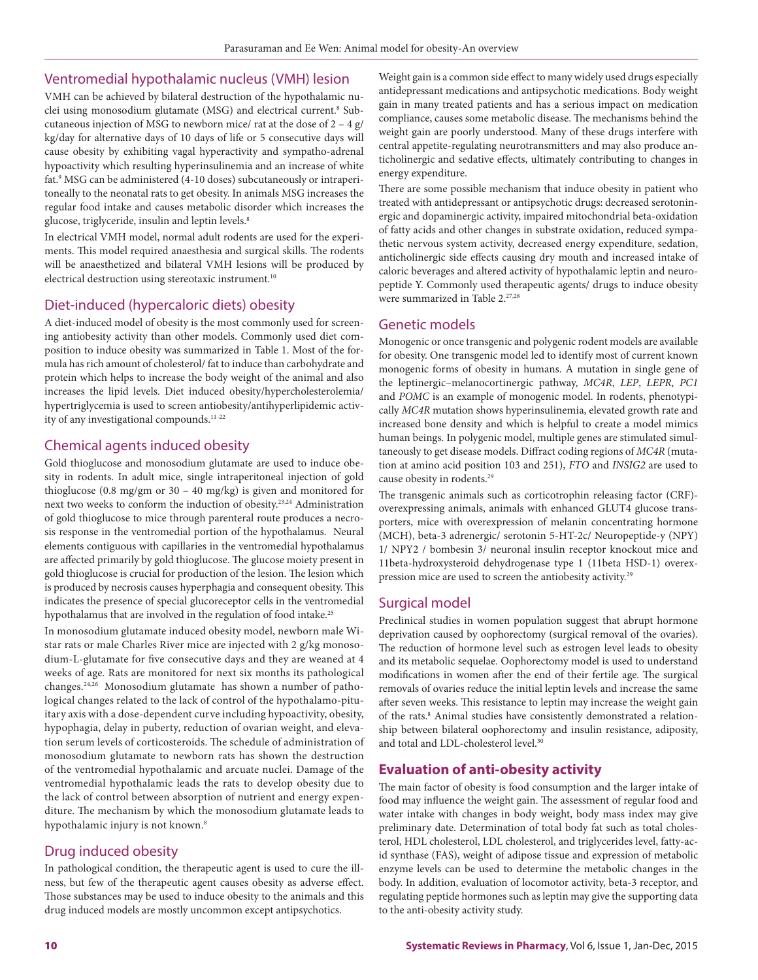#### Ventromedial hypothalamic nucleus (VMH) lesion

VMH can be achieved by bilateral destruction of the hypothalamic nuclei using monosodium glutamate (MSG) and electrical current.<sup>8</sup> Subcutaneous injection of MSG to newborn mice/ rat at the dose of  $2 - 4$  g/ kg/day for alternative days of 10 days of life or 5 consecutive days will cause obesity by exhibiting vagal hyperactivity and sympatho-adrenal hypoactivity which resulting hyperinsulinemia and an increase of white fat.9 MSG can be administered (4-10 doses) subcutaneously or intraperitoneally to the neonatal rats to get obesity. In animals MSG increases the regular food intake and causes metabolic disorder which increases the glucose, triglyceride, insulin and leptin levels.<sup>8</sup>

In electrical VMH model, normal adult rodents are used for the experiments. This model required anaesthesia and surgical skills. The rodents will be anaesthetized and bilateral VMH lesions will be produced by electrical destruction using stereotaxic instrument.<sup>10</sup>

### Diet-induced (hypercaloric diets) obesity

A diet-induced model of obesity is the most commonly used for screening antiobesity activity than other models. Commonly used diet composition to induce obesity was summarized in Table 1. Most of the formula has rich amount of cholesterol/ fat to induce than carbohydrate and protein which helps to increase the body weight of the animal and also increases the lipid levels. Diet induced obesity/hypercholesterolemia/ hypertriglycemia is used to screen antiobesity/antihyperlipidemic activity of any investigational compounds.<sup>11-22</sup>

#### Chemical agents induced obesity

Gold thioglucose and monosodium glutamate are used to induce obesity in rodents. In adult mice, single intraperitoneal injection of gold thioglucose (0.8 mg/gm or 30 – 40 mg/kg) is given and monitored for next two weeks to conform the induction of obesity.23,24 Administration of gold thioglucose to mice through parenteral route produces a necrosis response in the ventromedial portion of the hypothalamus. Neural elements contiguous with capillaries in the ventromedial hypothalamus are affected primarily by gold thioglucose. The glucose moiety present in gold thioglucose is crucial for production of the lesion. The lesion which is produced by necrosis causes hyperphagia and consequent obesity. This indicates the presence of special glucoreceptor cells in the ventromedial hypothalamus that are involved in the regulation of food intake.<sup>25</sup>

In monosodium glutamate induced obesity model, newborn male Wistar rats or male Charles River mice are injected with 2 g/kg monosodium-L-glutamate for five consecutive days and they are weaned at 4 weeks of age. Rats are monitored for next six months its pathological changes.24,26 Monosodium glutamate has shown a number of pathological changes related to the lack of control of the hypothalamo-pituitary axis with a dose-dependent curve including hypoactivity, obesity, hypophagia, delay in puberty, reduction of ovarian weight, and elevation serum levels of corticosteroids. The schedule of administration of monosodium glutamate to newborn rats has shown the destruction of the ventromedial hypothalamic and arcuate nuclei. Damage of the ventromedial hypothalamic leads the rats to develop obesity due to the lack of control between absorption of nutrient and energy expenditure. The mechanism by which the monosodium glutamate leads to hypothalamic injury is not known.<sup>8</sup>

## Drug induced obesity

In pathological condition, the therapeutic agent is used to cure the illness, but few of the therapeutic agent causes obesity as adverse effect. Those substances may be used to induce obesity to the animals and this drug induced models are mostly uncommon except antipsychotics.

Weight gain is a common side effect to many widely used drugs especially antidepressant medications and antipsychotic medications. Body weight gain in many treated patients and has a serious impact on medication compliance, causes some metabolic disease. The mechanisms behind the weight gain are poorly understood. Many of these drugs interfere with central appetite-regulating neurotransmitters and may also produce anticholinergic and sedative effects, ultimately contributing to changes in energy expenditure.

There are some possible mechanism that induce obesity in patient who treated with antidepressant or antipsychotic drugs: decreased serotoninergic and dopaminergic activity, impaired mitochondrial beta-oxidation of fatty acids and other changes in substrate oxidation, reduced sympathetic nervous system activity, decreased energy expenditure, sedation, anticholinergic side effects causing dry mouth and increased intake of caloric beverages and altered activity of hypothalamic leptin and neuropeptide Y. Commonly used therapeutic agents/ drugs to induce obesity were summarized in Table 2.<sup>27,28</sup>

#### Genetic models

Monogenic or once transgenic and polygenic rodent models are available for obesity. One transgenic model led to identify most of current known monogenic forms of obesity in humans. A mutation in single gene of the leptinergic–melanocortinergic pathway, *MC4R*, *LEP*, *LEPR*, *PC1* and *POMC* is an example of monogenic model. In rodents, phenotypically *MC4R* mutation shows hyperinsulinemia, elevated growth rate and increased bone density and which is helpful to create a model mimics human beings. In polygenic model, multiple genes are stimulated simultaneously to get disease models. Diffract coding regions of *MC4R* (mutation at amino acid position 103 and 251), *FTO* and *INSIG2* are used to cause obesity in rodents.29

The transgenic animals such as corticotrophin releasing factor (CRF) overexpressing animals, animals with enhanced GLUT4 glucose transporters, mice with overexpression of melanin concentrating hormone (MCH), beta-3 adrenergic/ serotonin 5-HT-2c/ Neuropeptide-y (NPY) 1/ NPY2 / bombesin 3/ neuronal insulin receptor knockout mice and 11beta-hydroxysteroid dehydrogenase type 1 (11beta HSD-1) overexpression mice are used to screen the antiobesity activity.29

#### Surgical model

Preclinical studies in women population suggest that abrupt hormone deprivation caused by oophorectomy (surgical removal of the ovaries). The reduction of hormone level such as estrogen level leads to obesity and its metabolic sequelae. Oophorectomy model is used to understand modifications in women after the end of their fertile age. The surgical removals of ovaries reduce the initial leptin levels and increase the same after seven weeks. This resistance to leptin may increase the weight gain of the rats.<sup>8</sup> Animal studies have consistently demonstrated a relationship between bilateral oophorectomy and insulin resistance, adiposity, and total and LDL-cholesterol level.30

# **Evaluation of anti-obesity activity**

The main factor of obesity is food consumption and the larger intake of food may influence the weight gain. The assessment of regular food and water intake with changes in body weight, body mass index may give preliminary date. Determination of total body fat such as total cholesterol, HDL cholesterol, LDL cholesterol, and triglycerides level, fatty-acid synthase (FAS), weight of adipose tissue and expression of metabolic enzyme levels can be used to determine the metabolic changes in the body. In addition, evaluation of locomotor activity, beta-3 receptor, and regulating peptide hormones such as leptin may give the supporting data to the anti-obesity activity study.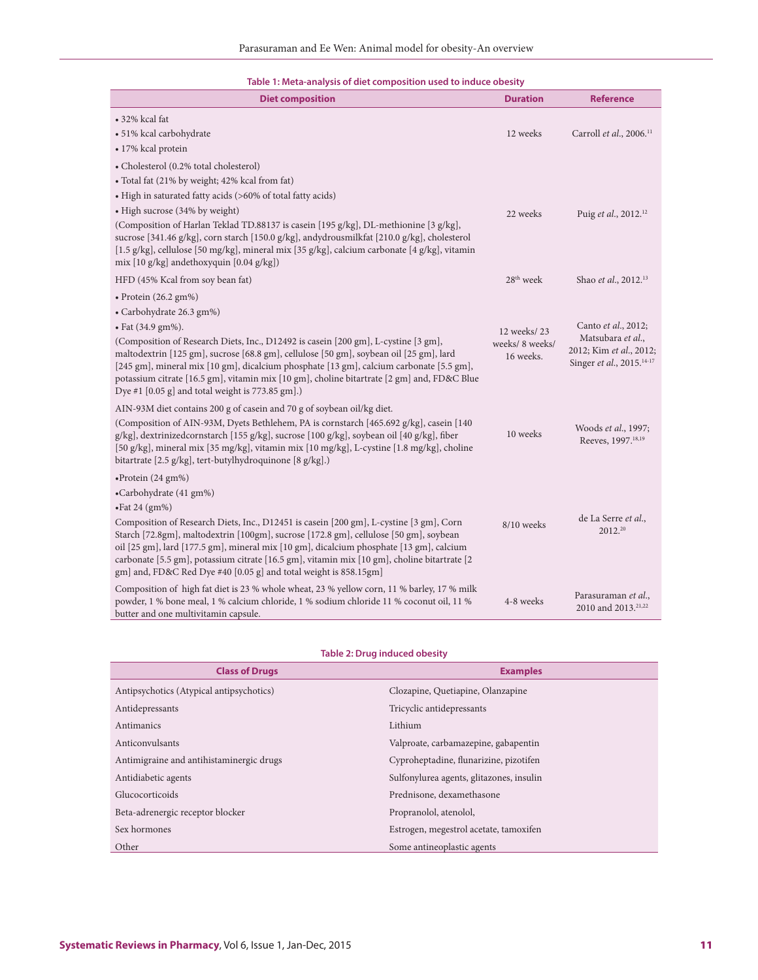| Table 1: Meta-analysis of diet composition used to induce obesity |  |  |
|-------------------------------------------------------------------|--|--|
|-------------------------------------------------------------------|--|--|

| <b>Diet composition</b>                                                                                                                                                                                                                                                                                                                                                                                                                                                                                    | <b>Duration</b>                             | <b>Reference</b>                                                                                             |
|------------------------------------------------------------------------------------------------------------------------------------------------------------------------------------------------------------------------------------------------------------------------------------------------------------------------------------------------------------------------------------------------------------------------------------------------------------------------------------------------------------|---------------------------------------------|--------------------------------------------------------------------------------------------------------------|
| • 32% kcal fat<br>· 51% kcal carbohydrate<br>• 17% kcal protein                                                                                                                                                                                                                                                                                                                                                                                                                                            | 12 weeks                                    | Carroll et al., 2006. <sup>11</sup>                                                                          |
| • Cholesterol (0.2% total cholesterol)<br>• Total fat (21% by weight; 42% kcal from fat)<br>• High in saturated fatty acids (>60% of total fatty acids)                                                                                                                                                                                                                                                                                                                                                    |                                             |                                                                                                              |
| · High sucrose (34% by weight)<br>(Composition of Harlan Teklad TD.88137 is casein [195 g/kg], DL-methionine [3 g/kg],<br>sucrose [341.46 g/kg], corn starch [150.0 g/kg], andydrousmilkfat [210.0 g/kg], cholesterol<br>[1.5 g/kg], cellulose [50 mg/kg], mineral mix [35 g/kg], calcium carbonate [4 g/kg], vitamin<br>mix [10 g/kg] andethoxyquin [0.04 g/kg])                                                                                                                                          | 22 weeks                                    | Puig et al., 2012. <sup>12</sup>                                                                             |
| HFD (45% Kcal from soy bean fat)                                                                                                                                                                                                                                                                                                                                                                                                                                                                           | 28 <sup>th</sup> week                       | Shao et al., 2012. <sup>13</sup>                                                                             |
| $\bullet$ Protein (26.2 gm%)<br>• Carbohydrate 26.3 gm%)<br>· Fat (34.9 gm%).<br>(Composition of Research Diets, Inc., D12492 is casein [200 gm], L-cystine [3 gm],<br>maltodextrin [125 gm], sucrose [68.8 gm], cellulose [50 gm], soybean oil [25 gm], lard<br>[245 gm], mineral mix [10 gm], dicalcium phosphate [13 gm], calcium carbonate [5.5 gm],<br>potassium citrate [16.5 gm], vitamin mix [10 gm], choline bitartrate [2 gm] and, FD&C Blue<br>Dye #1 [0.05 g] and total weight is 773.85 gm].) | 12 weeks/23<br>weeks/ 8 weeks/<br>16 weeks. | Canto et al., 2012;<br>Matsubara et al.,<br>2012; Kim et al., 2012;<br>Singer et al., 2015. <sup>14-17</sup> |
| AIN-93M diet contains 200 g of casein and 70 g of soybean oil/kg diet.<br>(Composition of AIN-93M, Dyets Bethlehem, PA is cornstarch [465.692 g/kg], casein [140<br>g/kg], dextrinizedcornstarch [155 g/kg], sucrose [100 g/kg], soybean oil [40 g/kg], fiber<br>[50 g/kg], mineral mix [35 mg/kg], vitamin mix [10 mg/kg], L-cystine [1.8 mg/kg], choline<br>bitartrate [2.5 g/kg], tert-butylhydroquinone [8 g/kg].)                                                                                     | 10 weeks                                    | Woods et al., 1997;<br>Reeves, 1997. <sup>18,19</sup>                                                        |
| $\bullet$ Protein (24 gm%)<br>•Carbohydrate (41 gm%)<br>$\cdot$ Fat 24 (gm%)<br>Composition of Research Diets, Inc., D12451 is casein [200 gm], L-cystine [3 gm], Corn<br>Starch [72.8gm], maltodextrin [100gm], sucrose [172.8 gm], cellulose [50 gm], soybean<br>oil [25 gm], lard [177.5 gm], mineral mix [10 gm], dicalcium phosphate [13 gm], calcium<br>carbonate [5.5 gm], potassium citrate [16.5 gm], vitamin mix [10 gm], choline bitartrate [2]                                                 | 8/10 weeks                                  | de La Serre et al.,<br>2012.20                                                                               |
| gm] and, FD&C Red Dye #40 [0.05 g] and total weight is 858.15gm]<br>Composition of high fat diet is 23 % whole wheat, 23 % yellow corn, 11 % barley, 17 % milk<br>powder, 1 % bone meal, 1 % calcium chloride, 1 % sodium chloride 11 % coconut oil, 11 %<br>butter and one multivitamin capsule.                                                                                                                                                                                                          | 4-8 weeks                                   | Parasuraman et al.,<br>2010 and 2013. <sup>21,22</sup>                                                       |

|  |  | Table 2: Drug induced obesity |  |
|--|--|-------------------------------|--|

| <b>Class of Drugs</b>                    | <b>Examples</b>                          |
|------------------------------------------|------------------------------------------|
| Antipsychotics (Atypical antipsychotics) | Clozapine, Quetiapine, Olanzapine        |
| Antidepressants                          | Tricyclic antidepressants                |
| Antimanics                               | Lithium                                  |
| Anticonvulsants                          | Valproate, carbamazepine, gabapentin     |
| Antimigraine and antihistaminergic drugs | Cyproheptadine, flunarizine, pizotifen   |
| Antidiabetic agents                      | Sulfonylurea agents, glitazones, insulin |
| Glucocorticoids                          | Prednisone, dexamethasone                |
| Beta-adrenergic receptor blocker         | Propranolol, atenolol,                   |
| Sex hormones                             | Estrogen, megestrol acetate, tamoxifen   |
| Other                                    | Some antineoplastic agents               |